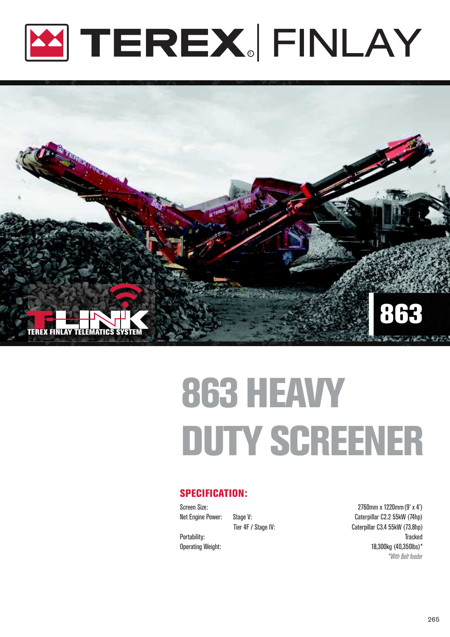



# 863 HEAVY DUTY SCREENER

### SPECIFICATION:

Screen Size: 2760mm x 1220mm (9' x 4') Net Engine Power: Stage V: Caterpillar C2.2 55kW (74hp) Tier 4F / Stage IV: Caterpillar C3.4 55kW (73.8hp) Portability: Tracked Operating Weight: 18,300kg (40,350lbs)\*  *\*With Belt feeder*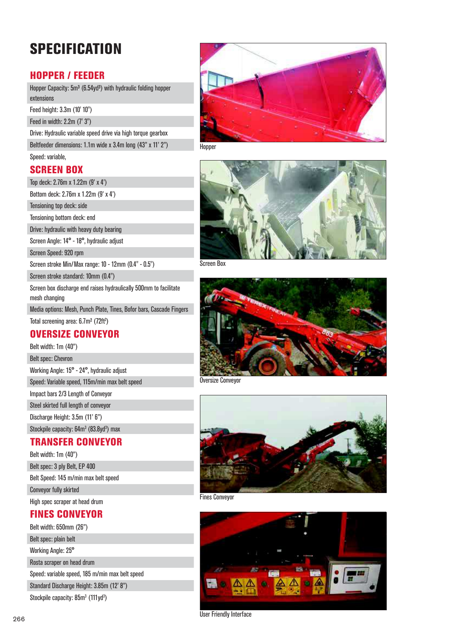## **SPECIFICATION**

## HOPPER / FEEDER

Hopper Capacity: 5m<sup>3</sup> (6.54yd<sup>3</sup>) with hydraulic folding hopper extensions

Feed height: 3.3m (10' 10")

Feed in width: 2.2m (7' 3")

Drive: Hydraulic variable speed drive via high torque gearbox Beltfeeder dimensions: 1.1m wide x 3.4m long (43" x 11' 2")

Hopper

#### Speed: variable, SCREEN BOX

Top deck: 2.76m x 1.22m (9' x 4')

Bottom deck: 2.76m x 1.22m (9' x 4')

Tensioning top deck: side

Tensioning bottom deck: end

Drive: hydraulic with heavy duty bearing

Screen Angle: 14° - 18°, hydraulic adjust

Screen Speed: 920 rpm

Screen stroke Min/Max range: 10 - 12mm (0.4" - 0.5")

Screen stroke standard: 10mm (0.4")

Screen box discharge end raises hydraulically 500mm to facilitate mesh changing

Media options: Mesh, Punch Plate, Tines, Bofor bars, Cascade Fingers

Total screening area: 6.7m<sup>2</sup> (72ft<sup>2</sup>)

## OVERSIZE CONVEYOR

Belt width: 1m (40")

Belt spec: Chevron Working Angle: 15° - 24°, hydraulic adjust Speed: Variable speed, 115m/min max belt speed Impact bars 2/3 Length of Conveyor Steel skirted full length of conveyor Discharge Height: 3.5m (11' 6")

Stockpile capacity: 64m<sup>3</sup> (83.8yd<sup>3</sup>) max

## TRANSFER CONVEYOR

Belt width: 1m (40") Belt spec: 3 ply Belt, EP 400 Belt Speed: 145 m/min max belt speed Conveyor fully skirted High spec scraper at head drum

## FINES CONVEYOR

Belt width: 650mm (26") Belt spec: plain belt Working Angle: 25° Rosta scraper on head drum Speed: variable speed, 185 m/min max belt speed Standard Discharge Height: 3.85m (12' 8")

Stockpile capacity: 85m<sup>3</sup> (111yd<sup>3</sup>)





Screen Box



Oversize Conveyor



Fines Conveyor



User Friendly Interface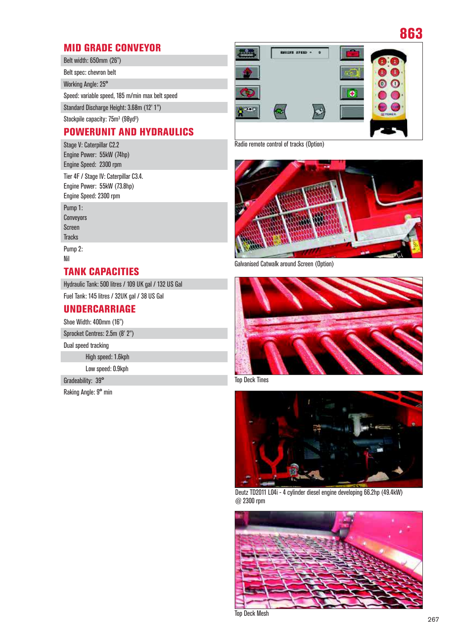## MID GRADE CONVEYOR

Belt width: 650mm (26") Belt spec: chevron belt Working Angle: 25° Speed: variable speed, 185 m/min max belt speed Standard Discharge Height: 3.68m (12' 1") Stockpile capacity: 75m<sup>3</sup> (98yd<sup>3</sup>)

## POWERUNIT AND HYDRAULICS

Stage V: Caterpillar C2.2 Engine Power: 55kW (74hp) Engine Speed: 2300 rpm Tier 4F / Stage IV: Caterpillar C3.4. Engine Power: 55kW (73.8hp) Engine Speed: 2300 rpm Pump 1: Conveyors Screen **Tracks** Pump 2: Nil

## TANK CAPACITIES

Hydraulic Tank: 500 litres / 109 UK gal / 132 US Gal

Fuel Tank: 145 litres / 32UK gal / 38 US Gal

## UNDERCARRIAGE

Shoe Width: 400mm (16")

Sprocket Centres: 2.5m (8' 2")

Dual speed tracking

High speed: 1.6kph

Low speed: 0.9kph

Gradeability: 39°

Raking Angle: 9° min



Radio remote control of tracks (Option)



Galvanised Catwalk around Screen (Option)



Top Deck Tines



Deutz TD2011 L04i - 4 cylinder diesel engine developing 66.2hp (49.4kW) @ 2300 rpm



Top Deck Mesh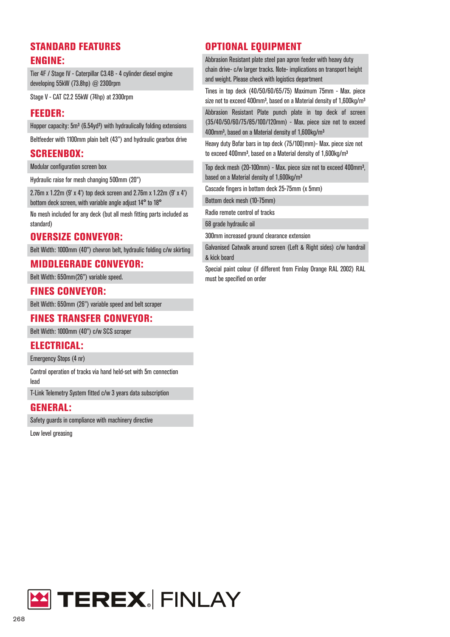## STANDARD FEATURES ENGINE:

Tier 4F / Stage IV - Caterpillar C3.4B - 4 cylinder diesel engine developing 55kW (73.8hp) @ 2300rpm

Stage V - CAT C2.2 55kW (74hp) at 2300rpm

#### FEEDER:

Hopper capacity: 5m<sup>3</sup> (6.54yd<sup>3</sup>) with hydraulically folding extensions

Beltfeeder with 1100mm plain belt (43") and hydraulic gearbox drive

#### SCREENBOX:

Modular configuration screen box

Hydraulic raise for mesh changing 500mm (20")

2.76m x 1.22m (9' x 4') top deck screen and 2.76m x 1.22m (9' x 4') bottom deck screen, with variable angle adjust 14° to 18°

No mesh included for any deck (but all mesh fitting parts included as standard)

#### OVERSIZE CONVEYOR:

Belt Width: 1000mm (40") chevron belt, hydraulic folding c/w skirting

#### MIDDLEGRADE CONVEYOR:

Belt Width: 650mm(26") variable speed.

#### FINES CONVEYOR:

Belt Width: 650mm (26") variable speed and belt scraper

### FINES TRANSFER CONVEYOR:

Belt Width: 1000mm (40") c/w SCS scraper

#### ELECTRICAL:

Emergency Stops (4 nr)

Control operation of tracks via hand held-set with 5m connection lead

T-Link Telemetry System fitted c/w 3 years data subscription

#### GENERAL:

Safety guards in compliance with machinery directive

Low level greasing

## OPTIONAL EQUIPMENT

Abbrasion Resistant plate steel pan apron feeder with heavy duty chain drive- c/w larger tracks. Note- implications on transport height and weight. Please check with logistics department

Tines in top deck (40/50/60/65/75) Maximum 75mm - Max. piece size not to exceed 400mm<sup>3</sup>, based on a Material density of 1,600kg/m<sup>3</sup>

Abbrasion Resistant Plate punch plate in top deck of screen (35/40/50/60/75/85/100/120mm) - Max. piece size not to exceed 400mm<sup>3</sup>, based on a Material density of 1,600kg/m<sup>3</sup>

Heavy duty Bofar bars in top deck (75/100)mm)- Max. piece size not to exceed 400mm<sup>3</sup>, based on a Material density of 1,600kg/m<sup>3</sup>

Top deck mesh (20-100mm) - Max. piece size not to exceed 400mm³, based on a Material density of 1,600kg/m³

Cascade fingers in bottom deck 25-75mm (x 5mm)

Bottom deck mesh (10-75mm)

Radio remote control of tracks

68 grade hydraulic oil

300mm increased ground clearance extension

Galvanised Catwalk around screen (Left & Right sides) c/w handrail & kick board

Special paint colour (if different from Finlay Orange RAL 2002) RAL must be specified on order

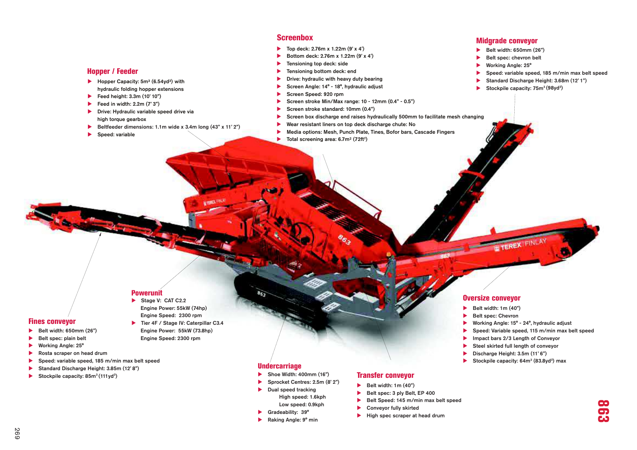#### **Screenbox**

- Top deck:  $2.76m \times 1.22m (9' \times 4')$
- Bottom deck:  $2.76m \times 1.22m (9' \times 4')$
- $\blacktriangleright$  Tensioning top deck: side
- $\blacktriangleright$  Tensioning bottom deck: end
- $\blacktriangleright$  Drive: hydraulic with heavy duty bearing
- Screen Angle:  $14^\circ$   $18^\circ$ , hydraulic adjust
- Screen Speed: 920 rpm
- Screen stroke Min/Max range: 10 12mm (0.4" 0.5")
- Screen stroke standard:  $10$ mm  $(0.4")$
- Screen box discharge end raises hydraulically 500mm to facilitate mesh changing
	- Wear resistant liners on top deck discharge chute: No
- Media options: Mesh, Punch Plate, Tines, Bofor bars, Cascade Fingers
- Total screening area:  $6.7m^2$  (72ft<sup>2</sup>)

#### Midgrade conveyor

- $\blacktriangleright$  Belt width: 650mm (26")
- Belt spec: chevron belt
- Working Angle: 25°
- Speed: variable speed, 185 m/min max belt speed
- Standard Discharge Height: 3.68m (12' 1")
- Stockpile capacity: 75m<sup>3</sup> (98yd<sup>3</sup>)

#### Hopper / Feeder

- $\blacktriangleright$  Hopper Capacity: 5m<sup>3</sup> (6.54yd<sup>3</sup>) with hydraulic folding hopper extensions
- Feed height:  $3.3m (10' 10")$
- Feed in width:  $2.2m (7' 3")$
- $\blacktriangleright$  Drive: Hydraulic variable speed drive via high torque gearbox
- Beltfeeder dimensions: 1.1m wide x 3.4m long  $(43" \times 11' 2")$
- $\blacktriangleright$  Speed: variable

#### Powerunit

- $\blacktriangleright$  Stage V: CAT C2.2 Engine Power: 55kW (74hp)Engine Speed: 2300 rpm
- Tier 4F / Stage IV: Caterpillar C3.4 Engine Power: 55kW (73.8hp)Engine Speed: 2300 rpm
- $\blacktriangleright$  Belt width: 650mm (26")  $\blacktriangleright$  Belt spec: plain belt  $\blacktriangleright$  Working Angle: 25°

Fines conveyor

- $\blacktriangleright$  Rosta scraper on head drum
- Speed: variable speed, 185 m/min max belt speed
- Standard Discharge Height: 3.85m (12' 8")
- Stockpile capacity:  $85m^3(111yd^3)$
- **Undercarriage**
- $\blacktriangleright$  Shoe Width: 400mm (16")
- Sprocket Centres: 2.5m (8' 2")
- $\blacktriangleright$  Dual speed tracking High speed: 1.6kphLow speed: 0.9kph
- $\blacktriangleright$  Gradeability: 39°
- Raking Angle: 9° min

#### Transfer conveyor

- $\blacktriangleright$  Belt width: 1m (40")
- $\blacktriangleright$  Belt spec: 3 ply Belt, EP 400
- Belt Speed: 145 m/min max belt speed
- Conveyor fully skirted
- $\blacktriangleright$  High spec scraper at head drum

#### Oversize conveyor

- $\blacktriangleright$  Belt width: 1m (40")
- Belt spec: Chevron
- **XWorking Angle: 15° 24°, hydraulic adjust**

**TEREX** 

- Speed: Variable speed, 115 m/min max belt speed
- Impact bars 2/3 Length of Conveyor
- Steel skirted full length of conveyor
- $\blacktriangleright$  Discharge Height: 3.5m (11' 6")
- Stockpile capacity:  $64m^3$  (83.8yd<sup>3</sup>) max